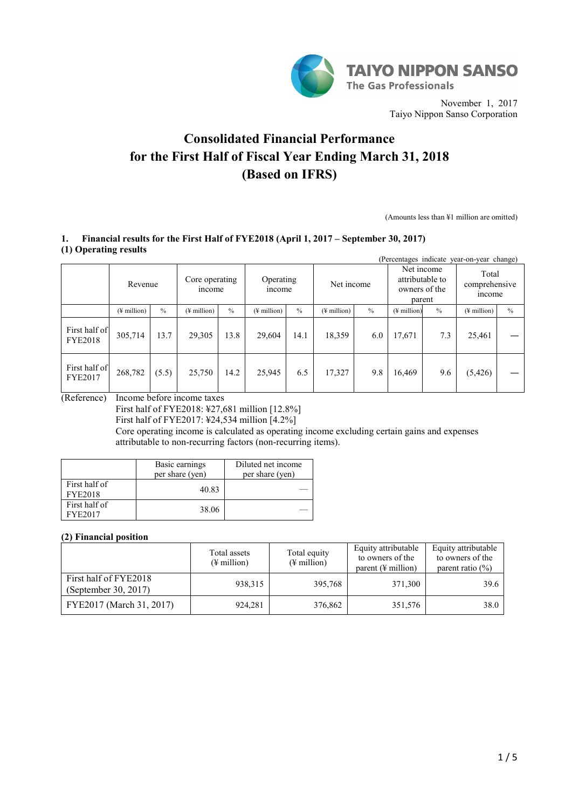

November 1, 2017 Taiyo Nippon Sanso Corporation

# **Consolidated Financial Performance for the First Half of Fiscal Year Ending March 31, 2018 (Based on IFRS)**

(Amounts less than ¥1 million are omitted)

# **1. Financial results for the First Half of FYE2018 (April 1, 2017 – September 30, 2017) (1) Operating results**

|                                 |                         |       |                          |               |                          |      |                          |      |                          |                                            | (Percentages indicate year-on-year change) |               |
|---------------------------------|-------------------------|-------|--------------------------|---------------|--------------------------|------|--------------------------|------|--------------------------|--------------------------------------------|--------------------------------------------|---------------|
|                                 | Revenue                 |       | Core operating<br>income |               | Operating<br>income      |      | Net income               |      | Net income               | attributable to<br>owners of the<br>parent | Total<br>comprehensive<br><i>ncome</i>     |               |
|                                 | $(\frac{1}{2})$ million | $\%$  | $(\frac{1}{2})$ million) | $\frac{0}{0}$ | $(\frac{1}{2})$ million) | $\%$ | $(\frac{1}{2})$ million) | $\%$ | $(\frac{1}{2})$ million) | $\%$                                       | $(\frac{1}{2})$ million)                   | $\frac{0}{0}$ |
| First half of<br><b>FYE2018</b> | 305,714                 | 13.7  | 29,305                   | 13.8          | 29,604                   | 14.1 | 18,359                   | 6.0  | 17,671                   | 7.3                                        | 25,461                                     |               |
| First half of<br><b>FYE2017</b> | 268,782                 | (5.5) | 25,750                   | 14.2          | 25,945                   | 6.5  | 17,327                   | 9.8  | 16,469                   | 9.6                                        | (5, 426)                                   |               |

(Reference) Income before income taxes

First half of FYE2018: ¥27,681 million [12.8%]

First half of FYE2017: ¥24,534 million [4.2%]

Core operating income is calculated as operating income excluding certain gains and expenses attributable to non-recurring factors (non-recurring items).

|                                 | Basic earnings<br>per share (yen) | Diluted net income<br>per share (yen) |
|---------------------------------|-----------------------------------|---------------------------------------|
| First half of<br><b>FYE2018</b> | 40.83                             |                                       |
| First half of<br>FYE2017        | 38.06                             |                                       |

# **(2) Financial position**

|                                               | Total assets<br>$(\frac{1}{2})$ million | Total equity<br>$(\frac{1}{2})$ million) | Equity attributable<br>to owners of the<br>parent $(\frac{1}{2})$ million | Equity attributable<br>to owners of the<br>parent ratio $(\% )$ |
|-----------------------------------------------|-----------------------------------------|------------------------------------------|---------------------------------------------------------------------------|-----------------------------------------------------------------|
| First half of FYE2018<br>(September 30, 2017) | 938, 315                                | 395,768                                  | 371,300                                                                   | 39.6                                                            |
| FYE2017 (March 31, 2017)                      | 924,281                                 | 376,862                                  | 351,576                                                                   | 38.0                                                            |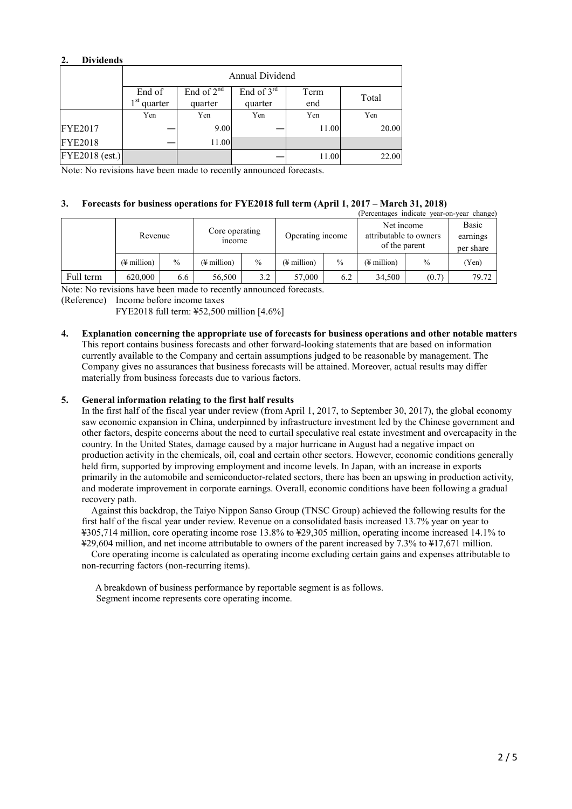### **2. Dividends**

|                | Annual Dividend         |                         |                         |             |       |  |  |  |
|----------------|-------------------------|-------------------------|-------------------------|-------------|-------|--|--|--|
|                | End of<br>$1st$ quarter | End of $2nd$<br>quarter | End of $3rd$<br>quarter | Term<br>end | Total |  |  |  |
|                | Yen                     | Yen                     | Yen                     | Yen         | Yen   |  |  |  |
| <b>FYE2017</b> |                         | 9.00                    |                         | 11.00       | 20.00 |  |  |  |
| <b>FYE2018</b> |                         | 11.00                   |                         |             |       |  |  |  |
| FYE2018 (est.) |                         |                         |                         | 11.00       | 22.00 |  |  |  |

Note: No revisions have been made to recently announced forecasts.

#### **3. Forecasts for business operations for FYE2018 full term (April 1, 2017 – March 31, 2018)**

|           |                         |      |                                |               |                  |               | (Percentages indicate year-on-year change)            |               |                                |
|-----------|-------------------------|------|--------------------------------|---------------|------------------|---------------|-------------------------------------------------------|---------------|--------------------------------|
|           | Revenue                 |      | Core operating<br><i>ncome</i> |               | Operating income |               | Net income<br>attributable to owners<br>of the parent |               | Basic<br>earnings<br>per share |
|           | $(\frac{1}{2})$ million | $\%$ | (¥ million)                    | $\frac{0}{0}$ | (¥ million)      | $\frac{0}{0}$ | (¥ million)                                           | $\frac{0}{0}$ | (Yen)                          |
| Full term | 620,000                 | 6.6  | 56,500                         | 3.2           | 57,000           | 6.2           | 34,500                                                | (0.7)         | 79.72                          |

Note: No revisions have been made to recently announced forecasts.

(Reference) Income before income taxes

FYE2018 full term: ¥52,500 million [4.6%]

**4. Explanation concerning the appropriate use of forecasts for business operations and other notable matters** This report contains business forecasts and other forward-looking statements that are based on information currently available to the Company and certain assumptions judged to be reasonable by management. The Company gives no assurances that business forecasts will be attained. Moreover, actual results may differ materially from business forecasts due to various factors.

#### **5. General information relating to the first half results**

In the first half of the fiscal year under review (from April 1, 2017, to September 30, 2017), the global economy saw economic expansion in China, underpinned by infrastructure investment led by the Chinese government and other factors, despite concerns about the need to curtail speculative real estate investment and overcapacity in the country. In the United States, damage caused by a major hurricane in August had a negative impact on production activity in the chemicals, oil, coal and certain other sectors. However, economic conditions generally held firm, supported by improving employment and income levels. In Japan, with an increase in exports primarily in the automobile and semiconductor-related sectors, there has been an upswing in production activity, and moderate improvement in corporate earnings. Overall, economic conditions have been following a gradual recovery path.

Against this backdrop, the Taiyo Nippon Sanso Group (TNSC Group) achieved the following results for the first half of the fiscal year under review. Revenue on a consolidated basis increased 13.7% year on year to ¥305,714 million, core operating income rose 13.8% to ¥29,305 million, operating income increased 14.1% to ¥29,604 million, and net income attributable to owners of the parent increased by 7.3% to ¥17,671 million.

Core operating income is calculated as operating income excluding certain gains and expenses attributable to non-recurring factors (non-recurring items).

A breakdown of business performance by reportable segment is as follows. Segment income represents core operating income.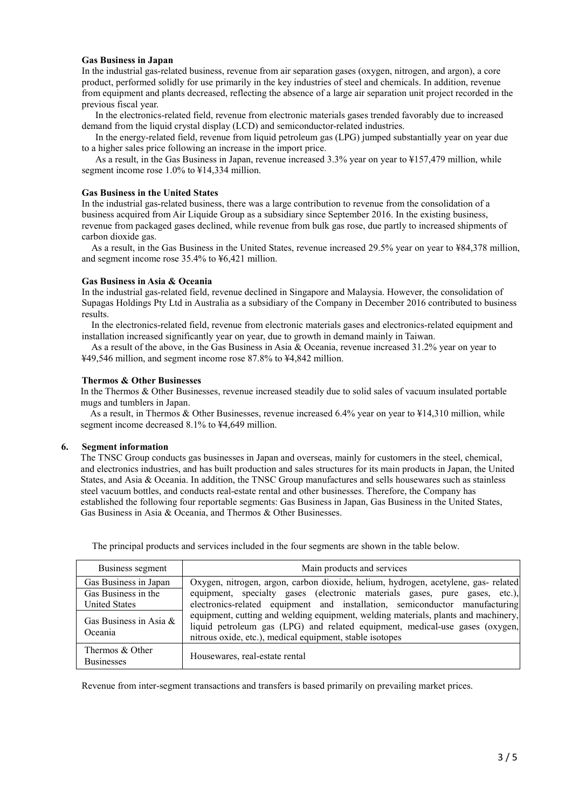#### **Gas Business in Japan**

In the industrial gas-related business, revenue from air separation gases (oxygen, nitrogen, and argon), a core product, performed solidly for use primarily in the key industries of steel and chemicals. In addition, revenue from equipment and plants decreased, reflecting the absence of a large air separation unit project recorded in the previous fiscal year.

In the electronics-related field, revenue from electronic materials gases trended favorably due to increased demand from the liquid crystal display (LCD) and semiconductor-related industries.

In the energy-related field, revenue from liquid petroleum gas (LPG) jumped substantially year on year due to a higher sales price following an increase in the import price.

As a result, in the Gas Business in Japan, revenue increased 3.3% year on year to ¥157,479 million, while segment income rose 1.0% to ¥14,334 million.

#### **Gas Business in the United States**

In the industrial gas-related business, there was a large contribution to revenue from the consolidation of a business acquired from Air Liquide Group as a subsidiary since September 2016. In the existing business, revenue from packaged gases declined, while revenue from bulk gas rose, due partly to increased shipments of carbon dioxide gas.

As a result, in the Gas Business in the United States, revenue increased 29.5% year on year to ¥84,378 million, and segment income rose 35.4% to ¥6,421 million.

#### **Gas Business in Asia & Oceania**

In the industrial gas-related field, revenue declined in Singapore and Malaysia. However, the consolidation of Supagas Holdings Pty Ltd in Australia as a subsidiary of the Company in December 2016 contributed to business results.

In the electronics-related field, revenue from electronic materials gases and electronics-related equipment and installation increased significantly year on year, due to growth in demand mainly in Taiwan.

As a result of the above, in the Gas Business in Asia & Oceania, revenue increased 31.2% year on year to ¥49,546 million, and segment income rose 87.8% to ¥4,842 million.

#### **Thermos & Other Businesses**

In the Thermos & Other Businesses, revenue increased steadily due to solid sales of vacuum insulated portable mugs and tumblers in Japan.

As a result, in Thermos & Other Businesses, revenue increased 6.4% year on year to ¥14,310 million, while segment income decreased 8.1% to ¥4,649 million.

#### **6. Segment information**

The TNSC Group conducts gas businesses in Japan and overseas, mainly for customers in the steel, chemical, and electronics industries, and has built production and sales structures for its main products in Japan, the United States, and Asia & Oceania. In addition, the TNSC Group manufactures and sells housewares such as stainless steel vacuum bottles, and conducts real-estate rental and other businesses. Therefore, the Company has established the following four reportable segments: Gas Business in Japan, Gas Business in the United States, Gas Business in Asia & Oceania, and Thermos & Other Businesses.

| Business segment                     | Main products and services                                                                                                                                                                                                     |
|--------------------------------------|--------------------------------------------------------------------------------------------------------------------------------------------------------------------------------------------------------------------------------|
| Gas Business in Japan                | Oxygen, nitrogen, argon, carbon dioxide, helium, hydrogen, acetylene, gas- related                                                                                                                                             |
| Gas Business in the                  | equipment, specialty gases (electronic materials gases, pure gases, etc.),                                                                                                                                                     |
| <b>United States</b>                 | electronics-related equipment and installation, semiconductor manufacturing                                                                                                                                                    |
| Gas Business in Asia $\&$<br>Oceania | equipment, cutting and welding equipment, welding materials, plants and machinery,<br>liquid petroleum gas (LPG) and related equipment, medical-use gases (oxygen,<br>nitrous oxide, etc.), medical equipment, stable isotopes |
| Thermos & Other<br><b>Businesses</b> | Housewares, real-estate rental                                                                                                                                                                                                 |

The principal products and services included in the four segments are shown in the table below.

Revenue from inter-segment transactions and transfers is based primarily on prevailing market prices.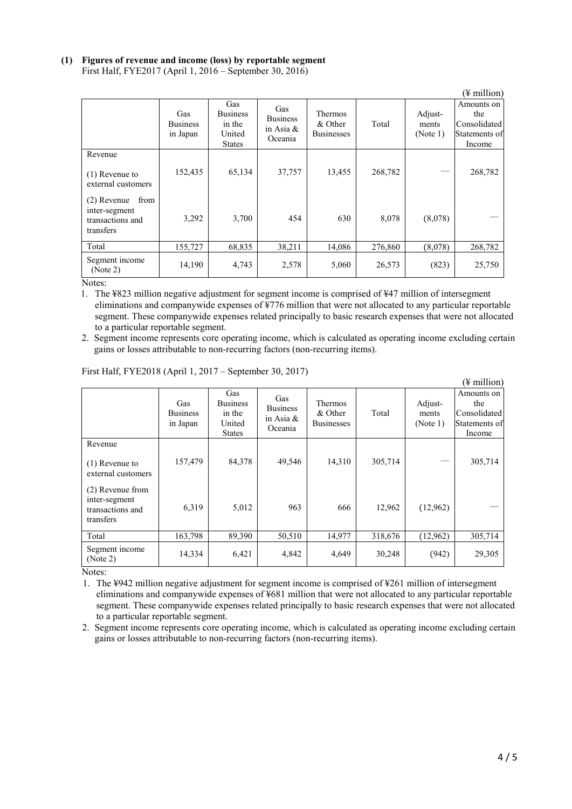#### **(1) Figures of revenue and income (loss) by reportable segment** First Half, FYE2017 (April 1, 2016 – September 30, 2016)

|                                                                         |                                    |                                                             |                                                   |                                                |         |                              | (¥ million)                                                  |
|-------------------------------------------------------------------------|------------------------------------|-------------------------------------------------------------|---------------------------------------------------|------------------------------------------------|---------|------------------------------|--------------------------------------------------------------|
|                                                                         | Gas<br><b>Business</b><br>in Japan | Gas<br><b>Business</b><br>in the<br>United<br><b>States</b> | Gas<br><b>Business</b><br>in Asia $\&$<br>Oceania | <b>Thermos</b><br>& Other<br><b>Businesses</b> | Total   | Adjust-<br>ments<br>(Note 1) | Amounts on<br>the<br>Consolidated<br>Statements of<br>Income |
| Revenue                                                                 |                                    |                                                             |                                                   |                                                |         |                              |                                                              |
| $(1)$ Revenue to<br>external customers                                  | 152,435                            | 65,134                                                      | 37,757                                            | 13,455                                         | 268,782 |                              | 268,782                                                      |
| from<br>$(2)$ Revenue<br>inter-segment<br>transactions and<br>transfers | 3,292                              | 3,700                                                       | 454                                               | 630                                            | 8,078   | (8,078)                      |                                                              |
| Total                                                                   | 155,727                            | 68,835                                                      | 38,211                                            | 14,086                                         | 276,860 | (8,078)                      | 268,782                                                      |
| Segment income<br>(Note 2)                                              | 14,190                             | 4,743                                                       | 2,578                                             | 5,060                                          | 26,573  | (823)                        | 25,750                                                       |

Notes:

1. The ¥823 million negative adjustment for segment income is comprised of ¥47 million of intersegment eliminations and companywide expenses of ¥776 million that were not allocated to any particular reportable segment. These companywide expenses related principally to basic research expenses that were not allocated to a particular reportable segment.

2. Segment income represents core operating income, which is calculated as operating income excluding certain gains or losses attributable to non-recurring factors (non-recurring items).

|                                                                    |                                    |                                                             |                                                   |                                                |         |                              | (¥ million)                                                  |
|--------------------------------------------------------------------|------------------------------------|-------------------------------------------------------------|---------------------------------------------------|------------------------------------------------|---------|------------------------------|--------------------------------------------------------------|
|                                                                    | Gas<br><b>Business</b><br>in Japan | Gas<br><b>Business</b><br>in the<br>United<br><b>States</b> | Gas<br><b>Business</b><br>in Asia $\&$<br>Oceania | <b>Thermos</b><br>& Other<br><b>Businesses</b> | Total   | Adjust-<br>ments<br>(Note 1) | Amounts on<br>the<br>Consolidated<br>Statements of<br>Income |
| Revenue<br>$(1)$ Revenue to<br>external customers                  | 157,479                            | 84,378                                                      | 49,546                                            | 14,310                                         | 305,714 |                              | 305,714                                                      |
| (2) Revenue from<br>inter-segment<br>transactions and<br>transfers | 6,319                              | 5,012                                                       | 963                                               | 666                                            | 12,962  | (12,962)                     |                                                              |
| Total                                                              | 163,798                            | 89,390                                                      | 50,510                                            | 14,977                                         | 318,676 | (12,962)                     | 305,714                                                      |
| Segment income<br>(Note 2)                                         | 14,334                             | 6,421                                                       | 4,842                                             | 4,649                                          | 30,248  | (942)                        | 29,305                                                       |

First Half, FYE2018 (April 1, 2017 – September 30, 2017)

Notes:

1. The ¥942 million negative adjustment for segment income is comprised of ¥261 million of intersegment eliminations and companywide expenses of ¥681 million that were not allocated to any particular reportable segment. These companywide expenses related principally to basic research expenses that were not allocated to a particular reportable segment.

2. Segment income represents core operating income, which is calculated as operating income excluding certain gains or losses attributable to non-recurring factors (non-recurring items).